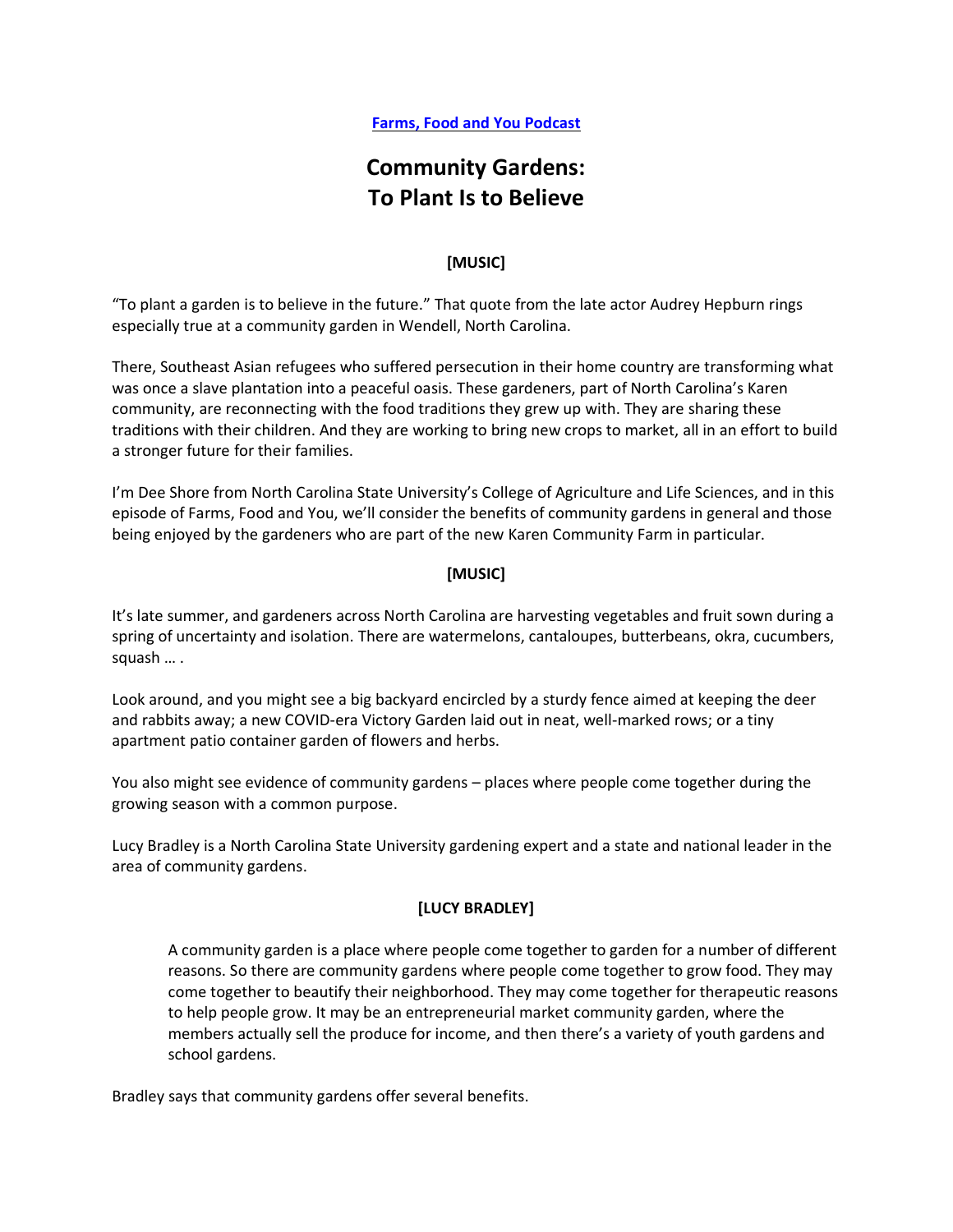# **Community Gardens: To Plant Is to Believe**

# **[MUSIC]**

"To plant a garden is to believe in the future." That quote from the late actor Audrey Hepburn rings especially true at a community garden in Wendell, North Carolina.

There, Southeast Asian refugees who suffered persecution in their home country are transforming what was once a slave plantation into a peaceful oasis. These gardeners, part of North Carolina's Karen community, are reconnecting with the food traditions they grew up with. They are sharing these traditions with their children. And they are working to bring new crops to market, all in an effort to build a stronger future for their families.

I'm Dee Shore from North Carolina State University's College of Agriculture and Life Sciences, and in this episode of Farms, Food and You, we'll consider the benefits of community gardens in general and those being enjoyed by the gardeners who are part of the new Karen Community Farm in particular.

# **[MUSIC]**

It's late summer, and gardeners across North Carolina are harvesting vegetables and fruit sown during a spring of uncertainty and isolation. There are watermelons, cantaloupes, butterbeans, okra, cucumbers, squash … .

Look around, and you might see a big backyard encircled by a sturdy fence aimed at keeping the deer and rabbits away; a new COVID-era Victory Garden laid out in neat, well-marked rows; or a tiny apartment patio container garden of flowers and herbs.

You also might see evidence of community gardens – places where people come together during the growing season with a common purpose.

Lucy Bradley is a North Carolina State University gardening expert and a state and national leader in the area of community gardens.

#### **[LUCY BRADLEY]**

A community garden is a place where people come together to garden for a number of different reasons. So there are community gardens where people come together to grow food. They may come together to beautify their neighborhood. They may come together for therapeutic reasons to help people grow. It may be an entrepreneurial market community garden, where the members actually sell the produce for income, and then there's a variety of youth gardens and school gardens.

Bradley says that community gardens offer several benefits.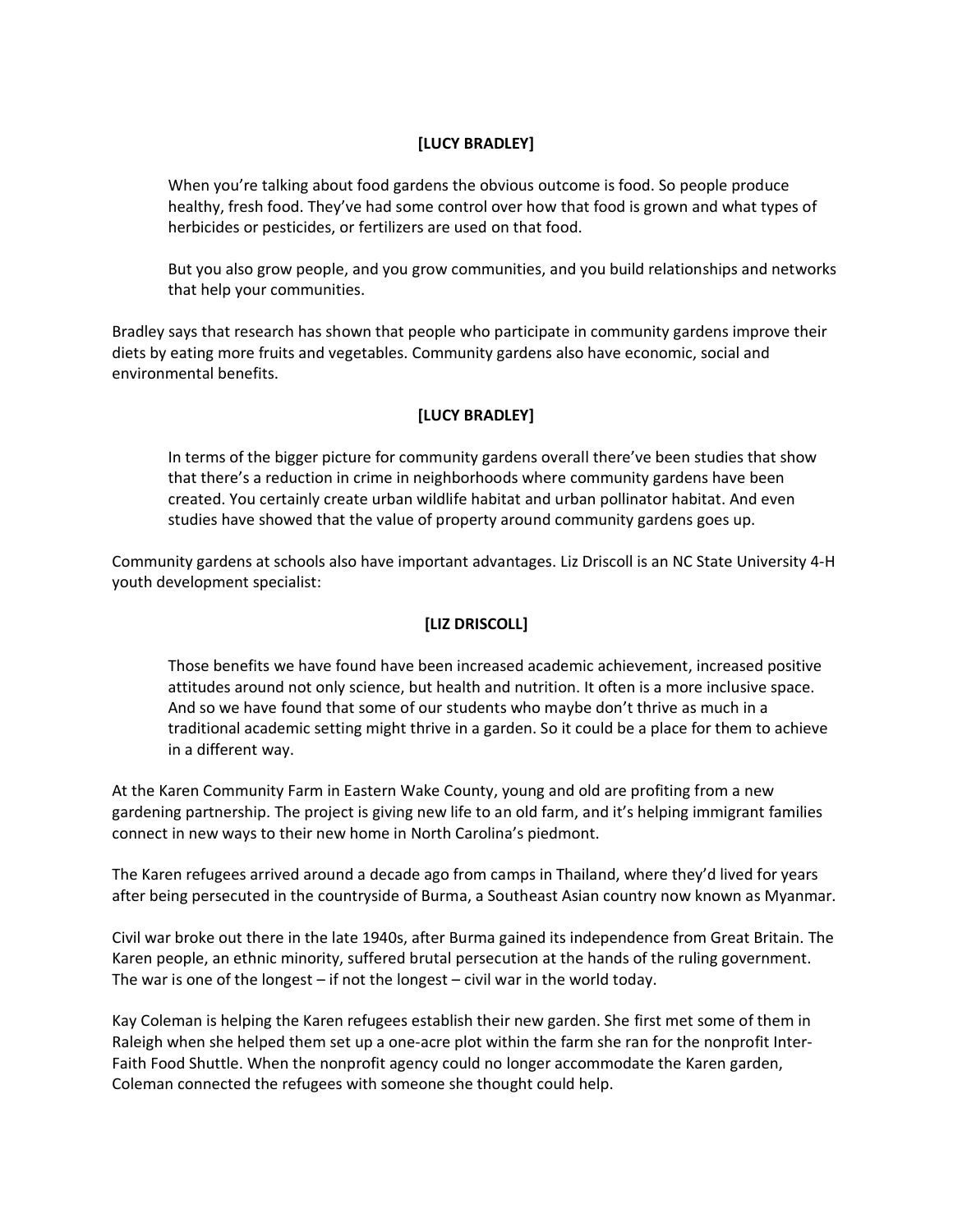## **[LUCY BRADLEY]**

When you're talking about food gardens the obvious outcome is food. So people produce healthy, fresh food. They've had some control over how that food is grown and what types of herbicides or pesticides, or fertilizers are used on that food.

But you also grow people, and you grow communities, and you build relationships and networks that help your communities.

Bradley says that research has shown that people who participate in community gardens improve their diets by eating more fruits and vegetables. Community gardens also have economic, social and environmental benefits.

# **[LUCY BRADLEY]**

In terms of the bigger picture for community gardens overall there've been studies that show that there's a reduction in crime in neighborhoods where community gardens have been created. You certainly create urban wildlife habitat and urban pollinator habitat. And even studies have showed that the value of property around community gardens goes up.

Community gardens at schools also have important advantages. Liz Driscoll is an NC State University 4-H youth development specialist:

# **[LIZ DRISCOLL]**

Those benefits we have found have been increased academic achievement, increased positive attitudes around not only science, but health and nutrition. It often is a more inclusive space. And so we have found that some of our students who maybe don't thrive as much in a traditional academic setting might thrive in a garden. So it could be a place for them to achieve in a different way.

At the Karen Community Farm in Eastern Wake County, young and old are profiting from a new gardening partnership. The project is giving new life to an old farm, and it's helping immigrant families connect in new ways to their new home in North Carolina's piedmont.

The Karen refugees arrived around a decade ago from camps in Thailand, where they'd lived for years after being persecuted in the countryside of Burma, a Southeast Asian country now known as Myanmar.

Civil war broke out there in the late 1940s, after Burma gained its independence from Great Britain. The Karen people, an ethnic minority, suffered brutal persecution at the hands of the ruling government. The war is one of the longest – if not the longest – civil war in the world today.

Kay Coleman is helping the Karen refugees establish their new garden. She first met some of them in Raleigh when she helped them set up a one-acre plot within the farm she ran for the nonprofit Inter-Faith Food Shuttle. When the nonprofit agency could no longer accommodate the Karen garden, Coleman connected the refugees with someone she thought could help.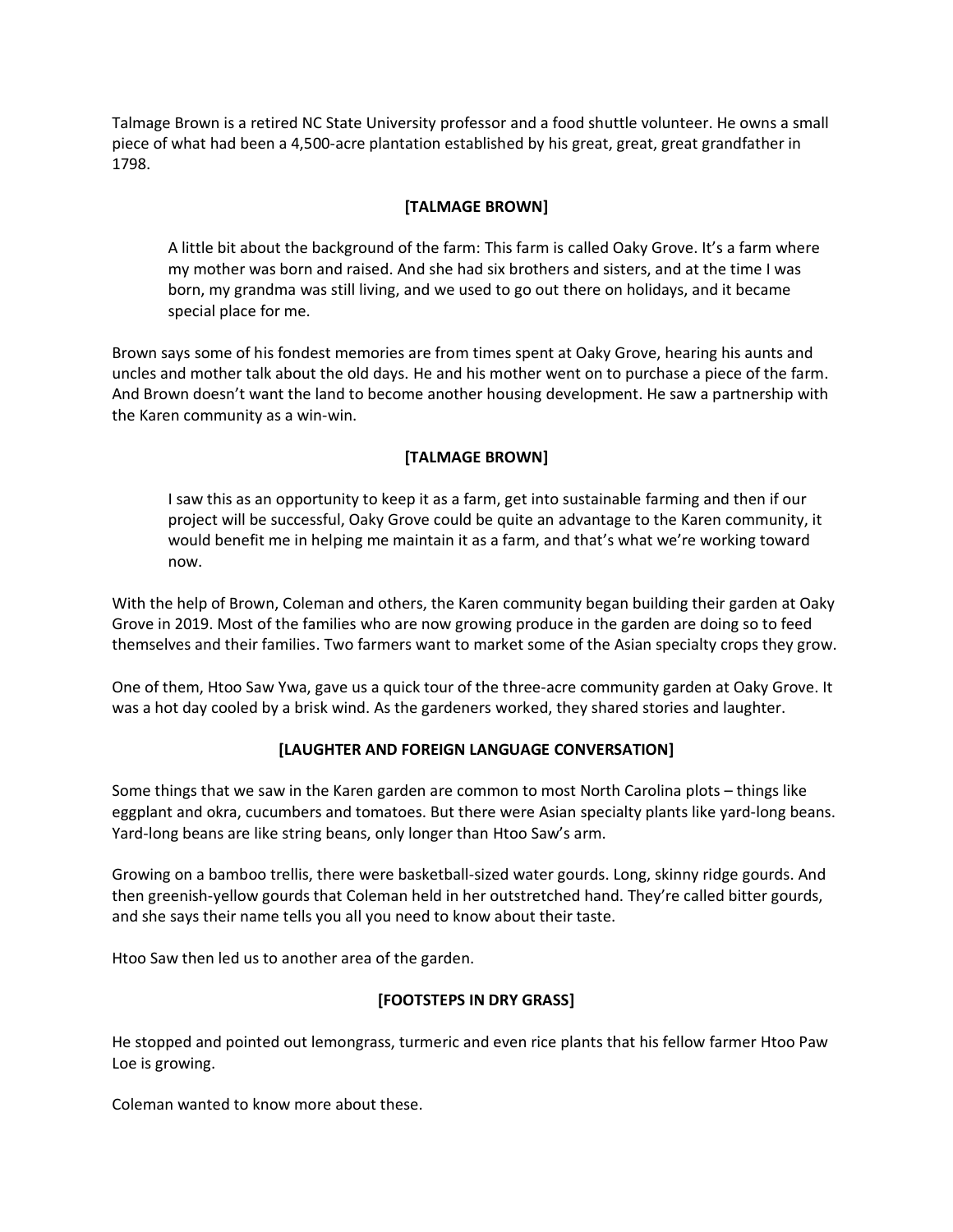Talmage Brown is a retired NC State University professor and a food shuttle volunteer. He owns a small piece of what had been a 4,500-acre plantation established by his great, great, great grandfather in 1798.

#### **[TALMAGE BROWN]**

A little bit about the background of the farm: This farm is called Oaky Grove. It's a farm where my mother was born and raised. And she had six brothers and sisters, and at the time I was born, my grandma was still living, and we used to go out there on holidays, and it became special place for me.

Brown says some of his fondest memories are from times spent at Oaky Grove, hearing his aunts and uncles and mother talk about the old days. He and his mother went on to purchase a piece of the farm. And Brown doesn't want the land to become another housing development. He saw a partnership with the Karen community as a win-win.

# **[TALMAGE BROWN]**

I saw this as an opportunity to keep it as a farm, get into sustainable farming and then if our project will be successful, Oaky Grove could be quite an advantage to the Karen community, it would benefit me in helping me maintain it as a farm, and that's what we're working toward now.

With the help of Brown, Coleman and others, the Karen community began building their garden at Oaky Grove in 2019. Most of the families who are now growing produce in the garden are doing so to feed themselves and their families. Two farmers want to market some of the Asian specialty crops they grow.

One of them, Htoo Saw Ywa, gave us a quick tour of the three-acre community garden at Oaky Grove. It was a hot day cooled by a brisk wind. As the gardeners worked, they shared stories and laughter.

#### **[LAUGHTER AND FOREIGN LANGUAGE CONVERSATION]**

Some things that we saw in the Karen garden are common to most North Carolina plots – things like eggplant and okra, cucumbers and tomatoes. But there were Asian specialty plants like yard-long beans. Yard-long beans are like string beans, only longer than Htoo Saw's arm.

Growing on a bamboo trellis, there were basketball-sized water gourds. Long, skinny ridge gourds. And then greenish-yellow gourds that Coleman held in her outstretched hand. They're called bitter gourds, and she says their name tells you all you need to know about their taste.

Htoo Saw then led us to another area of the garden.

#### **[FOOTSTEPS IN DRY GRASS]**

He stopped and pointed out lemongrass, turmeric and even rice plants that his fellow farmer Htoo Paw Loe is growing.

Coleman wanted to know more about these.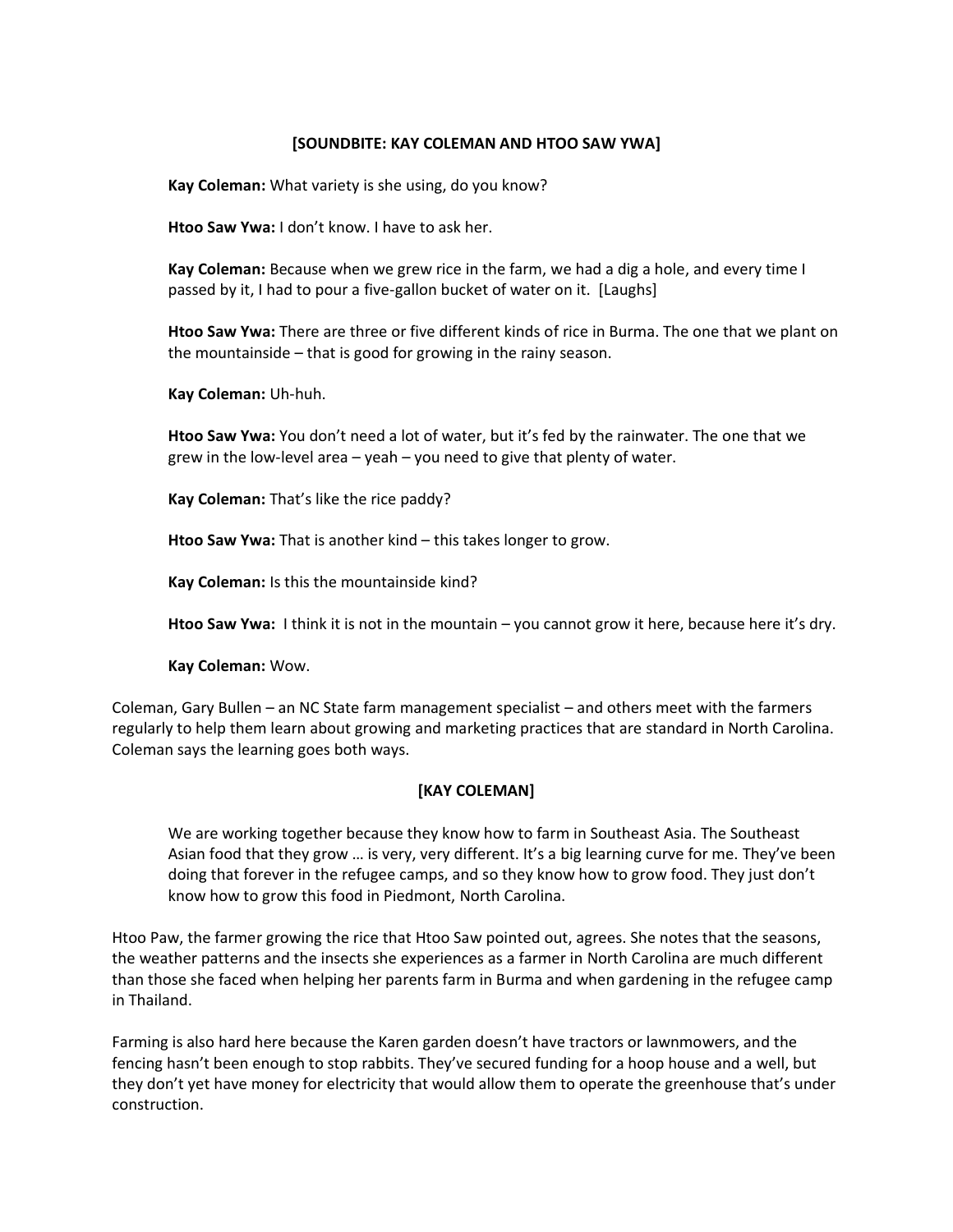#### **[SOUNDBITE: KAY COLEMAN AND HTOO SAW YWA]**

**Kay Coleman:** What variety is she using, do you know?

**Htoo Saw Ywa:** I don't know. I have to ask her.

**Kay Coleman:** Because when we grew rice in the farm, we had a dig a hole, and every time I passed by it, I had to pour a five-gallon bucket of water on it. [Laughs]

**Htoo Saw Ywa:** There are three or five different kinds of rice in Burma. The one that we plant on the mountainside – that is good for growing in the rainy season.

**Kay Coleman:** Uh-huh.

**Htoo Saw Ywa:** You don't need a lot of water, but it's fed by the rainwater. The one that we grew in the low-level area – yeah – you need to give that plenty of water.

**Kay Coleman:** That's like the rice paddy?

**Htoo Saw Ywa:** That is another kind – this takes longer to grow.

**Kay Coleman:** Is this the mountainside kind?

**Htoo Saw Ywa:** I think it is not in the mountain – you cannot grow it here, because here it's dry.

**Kay Coleman:** Wow.

Coleman, Gary Bullen – an NC State farm management specialist – and others meet with the farmers regularly to help them learn about growing and marketing practices that are standard in North Carolina. Coleman says the learning goes both ways.

#### **[KAY COLEMAN]**

We are working together because they know how to farm in Southeast Asia. The Southeast Asian food that they grow … is very, very different. It's a big learning curve for me. They've been doing that forever in the refugee camps, and so they know how to grow food. They just don't know how to grow this food in Piedmont, North Carolina.

Htoo Paw, the farmer growing the rice that Htoo Saw pointed out, agrees. She notes that the seasons, the weather patterns and the insects she experiences as a farmer in North Carolina are much different than those she faced when helping her parents farm in Burma and when gardening in the refugee camp in Thailand.

Farming is also hard here because the Karen garden doesn't have tractors or lawnmowers, and the fencing hasn't been enough to stop rabbits. They've secured funding for a hoop house and a well, but they don't yet have money for electricity that would allow them to operate the greenhouse that's under construction.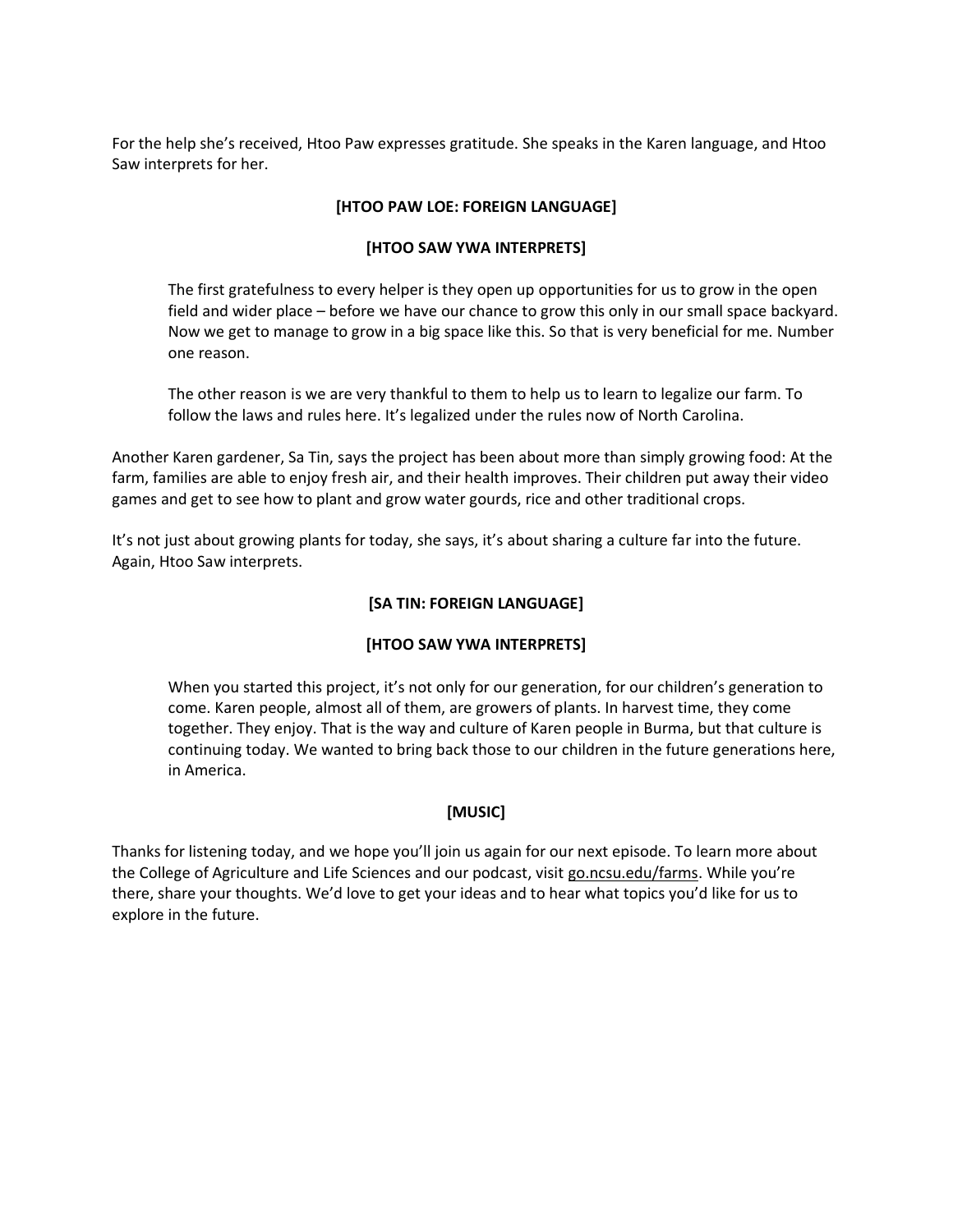For the help she's received, Htoo Paw expresses gratitude. She speaks in the Karen language, and Htoo Saw interprets for her.

### **[HTOO PAW LOE: FOREIGN LANGUAGE]**

## **[HTOO SAW YWA INTERPRETS]**

The first gratefulness to every helper is they open up opportunities for us to grow in the open field and wider place – before we have our chance to grow this only in our small space backyard. Now we get to manage to grow in a big space like this. So that is very beneficial for me. Number one reason.

The other reason is we are very thankful to them to help us to learn to legalize our farm. To follow the laws and rules here. It's legalized under the rules now of North Carolina.

Another Karen gardener, Sa Tin, says the project has been about more than simply growing food: At the farm, families are able to enjoy fresh air, and their health improves. Their children put away their video games and get to see how to plant and grow water gourds, rice and other traditional crops.

It's not just about growing plants for today, she says, it's about sharing a culture far into the future. Again, Htoo Saw interprets.

## **[SA TIN: FOREIGN LANGUAGE]**

# **[HTOO SAW YWA INTERPRETS]**

When you started this project, it's not only for our generation, for our children's generation to come. Karen people, almost all of them, are growers of plants. In harvest time, they come together. They enjoy. That is the way and culture of Karen people in Burma, but that culture is continuing today. We wanted to bring back those to our children in the future generations here, in America.

# **[MUSIC]**

Thanks for listening today, and we hope you'll join us again for our next episode. To learn more about the College of Agriculture and Life Sciences and our podcast, visit [go.ncsu.edu/farms](http://go.ncsu.edu/farms). While you're there, share your thoughts. We'd love to get your ideas and to hear what topics you'd like for us to explore in the future.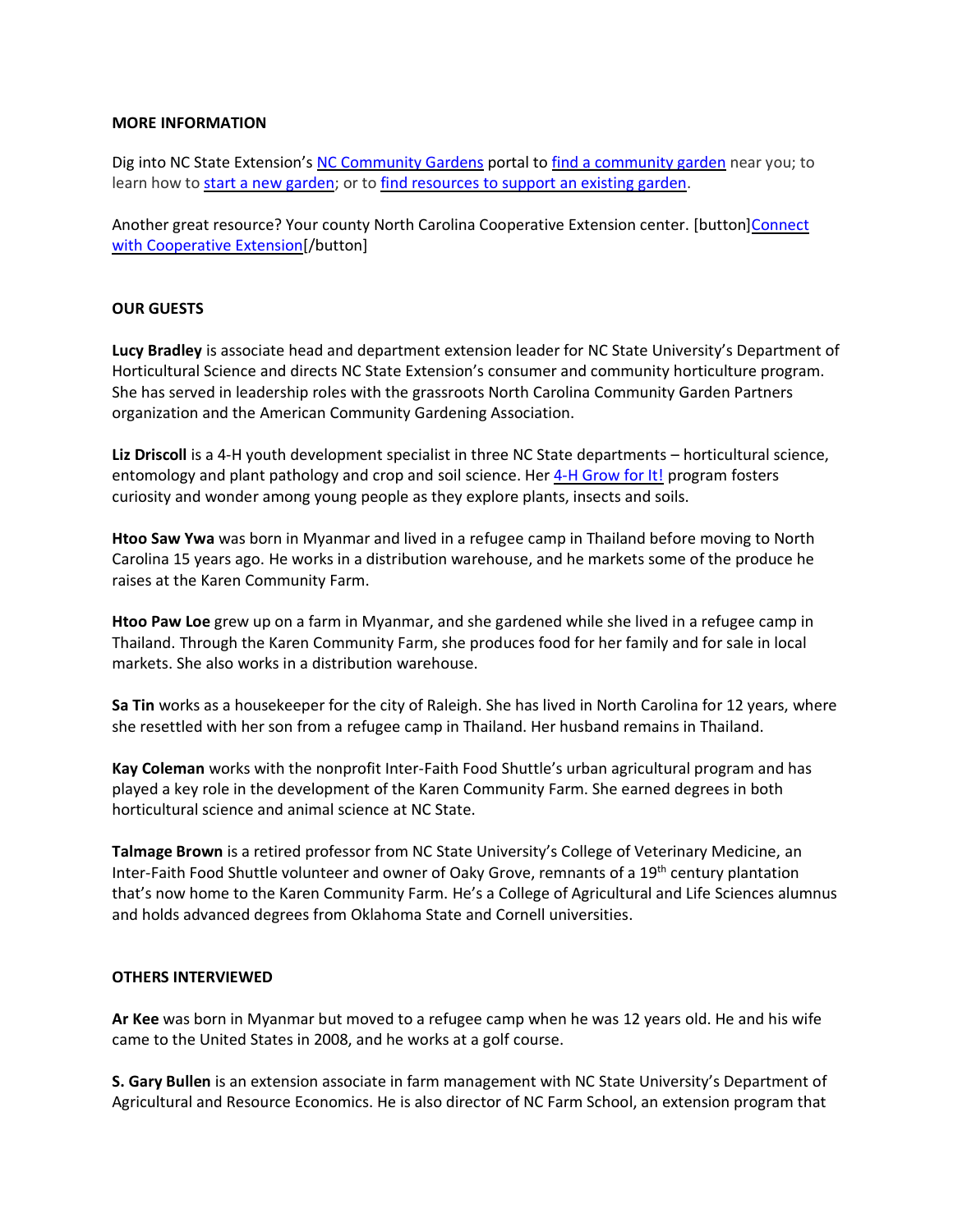#### **MORE INFORMATION**

Dig into NC State Extension's [NC Community Gardens](https://nccommunitygardens.ces.ncsu.edu/) portal t[o find a community garden](https://nccommunitygardens.ces.ncsu.edu/nccommunitygardens-connections/) near you; to learn how to [start a new garden;](https://nccommunitygardens.ces.ncsu.edu/nccommunitygardens-references/) or to find resources [to support an existing garden.](https://nccommunitygardens.ces.ncsu.edu/nccommunitygardens-community-gardening-resources/)

Another great resource? Your county North Carolina Cooperative Extension center. [button[\]Connect](https://www.ces.ncsu.edu/local-county-center) [with Cooperative Extension\[](https://www.ces.ncsu.edu/local-county-center)/button]

#### **OUR GUESTS**

**Lucy Bradley** is associate head and department extension leader for NC State University's Department of Horticultural Science and directs NC State Extension's consumer and community horticulture program. She has served in leadership roles with the grassroots North Carolina Community Garden Partners organization and the American Community Gardening Association.

**Liz Driscoll** is a 4-H youth development specialist in three NC State departments – horticultural science, entomology and plant pathology and crop and soil science. Her [4-H Grow for It!](https://growforit.ces.ncsu.edu/) program fosters curiosity and wonder among young people as they explore plants, insects and soils.

**Htoo Saw Ywa** was born in Myanmar and lived in a refugee camp in Thailand before moving to North Carolina 15 years ago. He works in a distribution warehouse, and he markets some of the produce he raises at the Karen Community Farm.

**Htoo Paw Loe** grew up on a farm in Myanmar, and she gardened while she lived in a refugee camp in Thailand. Through the Karen Community Farm, she produces food for her family and for sale in local markets. She also works in a distribution warehouse.

**Sa Tin** works as a housekeeper for the city of Raleigh. She has lived in North Carolina for 12 years, where she resettled with her son from a refugee camp in Thailand. Her husband remains in Thailand.

**Kay Coleman** works with the nonprofit Inter-Faith Food Shuttle's urban agricultural program and has played a key role in the development of the Karen Community Farm. She earned degrees in both horticultural science and animal science at NC State.

**Talmage Brown** is a retired professor from NC State University's College of Veterinary Medicine, an Inter-Faith Food Shuttle volunteer and owner of Oaky Grove, remnants of a 19<sup>th</sup> century plantation that's now home to the Karen Community Farm. He's a College of Agricultural and Life Sciences alumnus and holds advanced degrees from Oklahoma State and Cornell universities.

#### **OTHERS INTERVIEWED**

**Ar Kee** was born in Myanmar but moved to a refugee camp when he was 12 years old. He and his wife came to the United States in 2008, and he works at a golf course.

**S. Gary Bullen** is an extension associate in farm management with NC State University's Department of Agricultural and Resource Economics. He is also director of NC Farm School, an extension program that